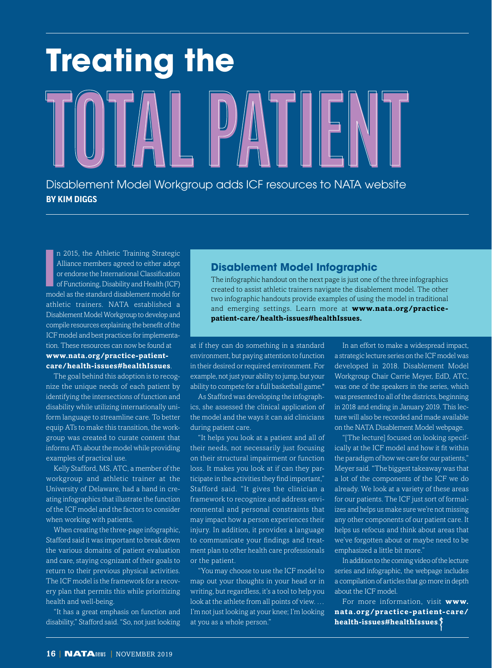# **TOTAL PATIENT** Disablement Model Workgroup adds ICF resources to NATA website **Treating the**

n 2015, the Athletic Training Strategic<br>Alliance members agreed to either adopt<br>or endorse the International Classification<br>of Functioning, Disability and Health (ICF)<br>model as the standard disablement model for n 2015, the Athletic Training Strategic Alliance members agreed to either adopt or endorse the International Classification of Functioning, Disability and Health (ICF) athletic trainers. NATA established a Disablement Model Workgroup to develop and compile resources explaining the benefit of the ICF model and best practices for implementation. These resources can now be found at

**BY KIM DIGGS**

#### **www.nata.org/practice-patientcare/health-issues#healthIssues**.

The goal behind this adoption is to recognize the unique needs of each patient by identifying the intersections of function and disability while utilizing internationally uniform language to streamline care. To better equip ATs to make this transition, the workgroup was created to curate content that informs ATs about the model while providing examples of practical use.

Kelly Stafford, MS, ATC, a member of the workgroup and athletic trainer at the University of Delaware, had a hand in creating infographics that illustrate the function of the ICF model and the factors to consider when working with patients.

When creating the three-page infographic, Stafford said it was important to break down the various domains of patient evaluation and care, staying cognizant of their goals to return to their previous physical activities. The ICF model is the framework for a recovery plan that permits this while prioritizing health and well-being.

"It has a great emphasis on function and disability," Stafford said. "So, not just looking

### **Disablement Model Infographic**

The infographic handout on the next page is just one of the three infographics created to assist athletic trainers navigate the disablement model. The other two infographic handouts provide examples of using the model in traditional and emerging settings. Learn more at **www.nata.org/practicepatient-care/health-issues#healthIssues.** 

at if they can do something in a standard environment, but paying attention to function in their desired or required environment. For example, not just your ability to jump, but your ability to compete for a full basketball game."

As Stafford was developing the infographics, she assessed the clinical application of the model and the ways it can aid clinicians during patient care.

"It helps you look at a patient and all of their needs, not necessarily just focusing on their structural impairment or function loss. It makes you look at if can they participate in the activities they find important," Stafford said. "It gives the clinician a framework to recognize and address environmental and personal constraints that may impact how a person experiences their injury. In addition, it provides a language to communicate your findings and treatment plan to other health care professionals or the patient.

"You may choose to use the ICF model to map out your thoughts in your head or in writing, but regardless, it's a tool to help you look at the athlete from all points of view. … I'm not just looking at your knee; I'm looking at you as a whole person."

In an effort to make a widespread impact, a strategic lecture series on the ICF model was developed in 2018. Disablement Model Workgroup Chair Carrie Meyer, EdD, ATC, was one of the speakers in the series, which was presented to all of the districts, beginning in 2018 and ending in January 2019. This lecture will also be recorded and made available on the NATA Disablement Model webpage.

"[The lecture] focused on looking specifically at the ICF model and how it fit within the paradigm of how we care for our patients," Meyer said. "The biggest takeaway was that a lot of the components of the ICF we do already. We look at a variety of these areas for our patients. The ICF just sort of formalizes and helps us make sure we're not missing any other components of our patient care. It helps us refocus and think about areas that we've forgotten about or maybe need to be emphasized a little bit more."

In addition to the coming video of the lecture series and infographic, the webpage includes a compilation of articles that go more in depth about the ICF model.

For more information, visit **www. nata.org/practice-patient-care/ health-issues#healthIssues**.